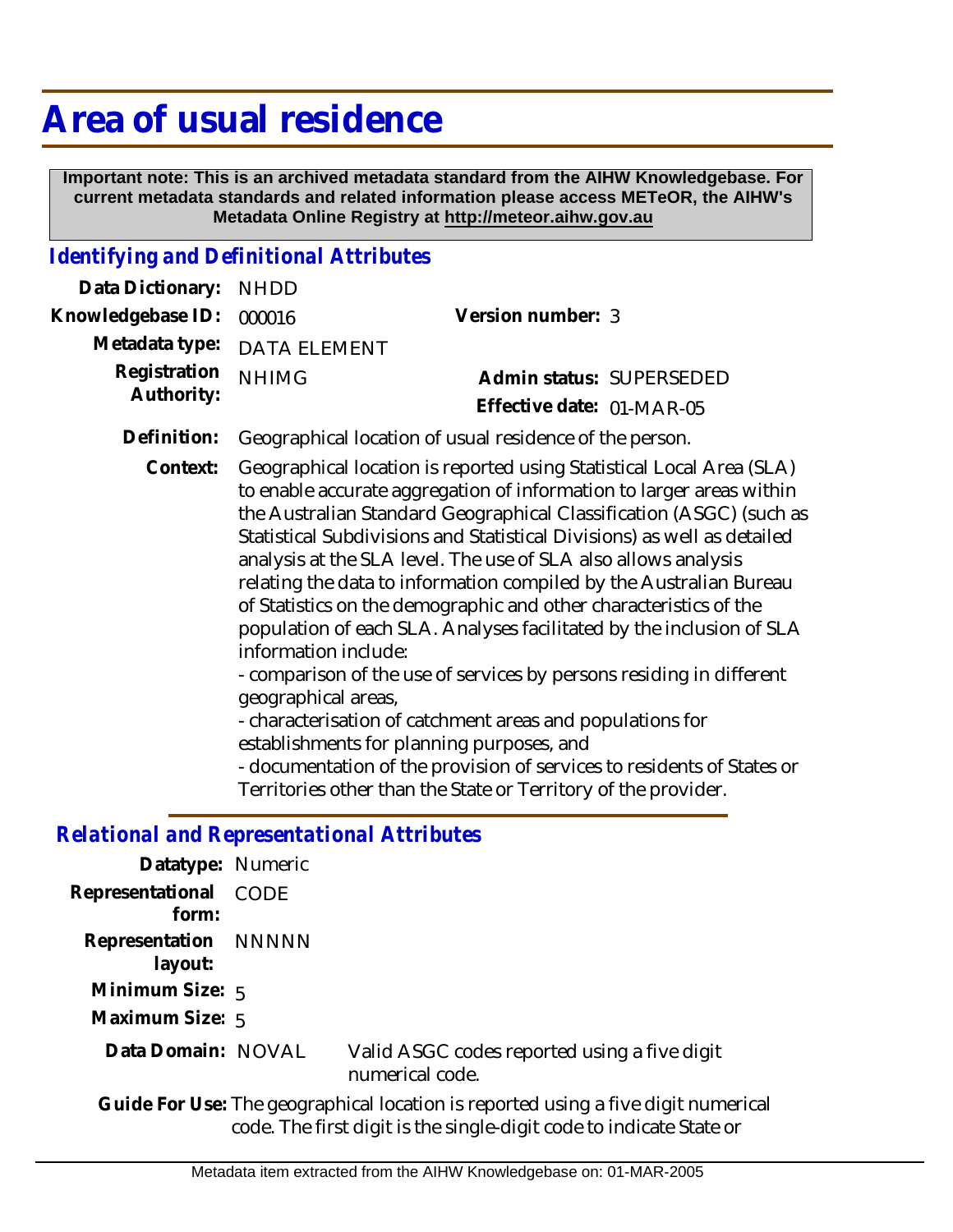# **Area of usual residence**

 **Important note: This is an archived metadata standard from the AIHW Knowledgebase. For current metadata standards and related information please access METeOR, the AIHW's Metadata Online Registry at http://meteor.aihw.gov.au**

#### *Identifying and Definitional Attributes*

| Data Dictionary: NHDD    |                             |                           |  |
|--------------------------|-----------------------------|---------------------------|--|
| Knowledgebase ID: 000016 |                             | Version number: 3         |  |
|                          | Metadata type: DATA ELEMENT |                           |  |
| Registration             | <b>NHIMG</b>                | Admin status: SUPERSEDED  |  |
| Authority:               |                             | Effective date: 01-MAR-05 |  |
|                          |                             |                           |  |

- **Definition:** Geographical location of usual residence of the person.
	- Geographical location is reported using Statistical Local Area (SLA) to enable accurate aggregation of information to larger areas within the Australian Standard Geographical Classification (ASGC) (such as Statistical Subdivisions and Statistical Divisions) as well as detailed analysis at the SLA level. The use of SLA also allows analysis relating the data to information compiled by the Australian Bureau of Statistics on the demographic and other characteristics of the population of each SLA. Analyses facilitated by the inclusion of SLA information include: **Context:**

- comparison of the use of services by persons residing in different geographical areas,

- characterisation of catchment areas and populations for establishments for planning purposes, and

- documentation of the provision of services to residents of States or Territories other than the State or Territory of the provider.

#### *Relational and Representational Attributes*

| Datatype: Numeric               |                                                                 |
|---------------------------------|-----------------------------------------------------------------|
| Representational CODE<br>form:  |                                                                 |
| Representation NNNNN<br>layout: |                                                                 |
| Minimum Size: $5$               |                                                                 |
| Maximum Size: 5                 |                                                                 |
| Data Domain: NOVAL              | Valid ASGC codes reported using a five digit<br>numerical code. |

Guide For Use: The geographical location is reported using a five digit numerical code. The first digit is the single-digit code to indicate State or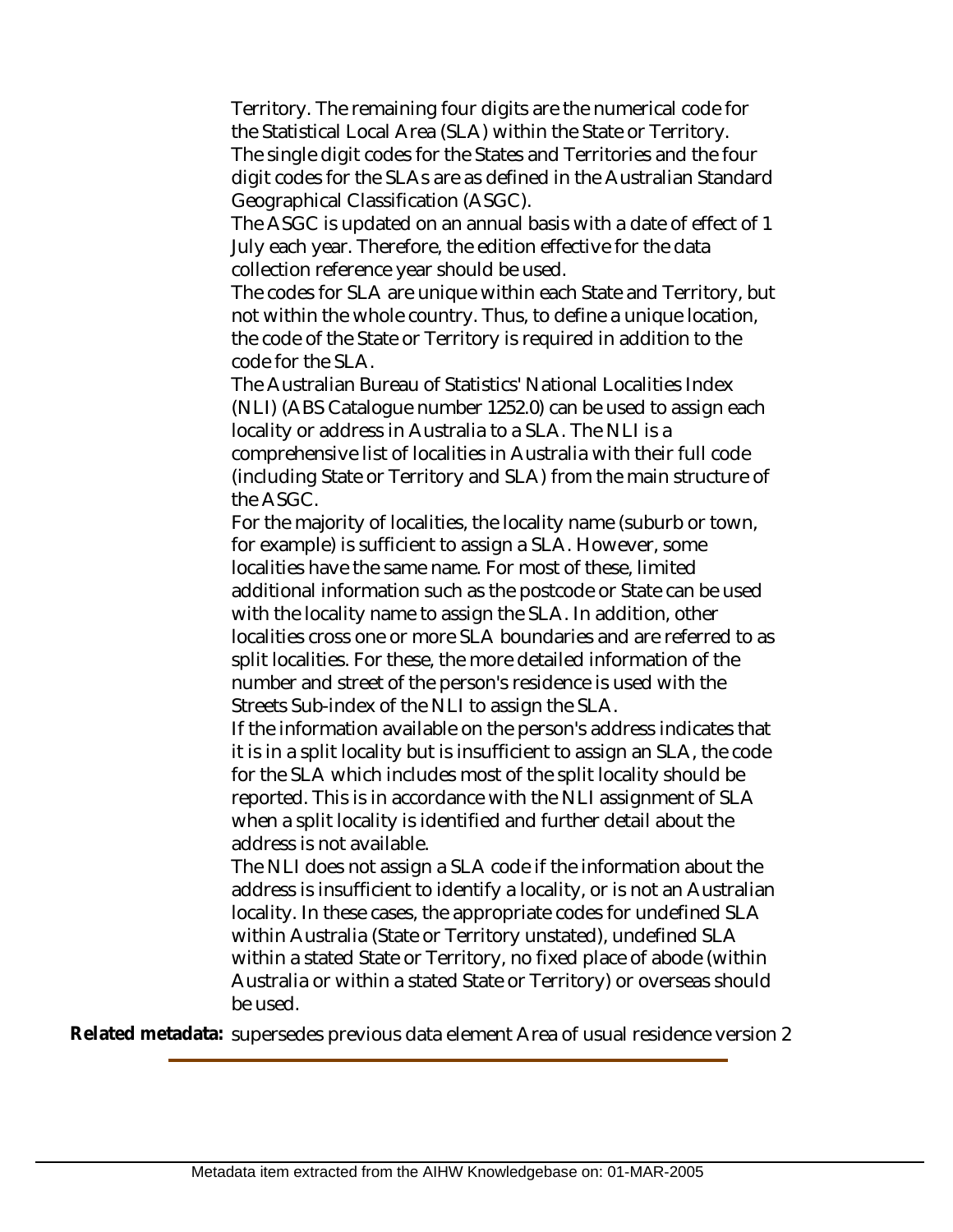Territory. The remaining four digits are the numerical code for the Statistical Local Area (SLA) within the State or Territory. The single digit codes for the States and Territories and the four digit codes for the SLAs are as defined in the Australian Standard Geographical Classification (ASGC).

The ASGC is updated on an annual basis with a date of effect of 1 July each year. Therefore, the edition effective for the data collection reference year should be used.

The codes for SLA are unique within each State and Territory, but not within the whole country. Thus, to define a unique location, the code of the State or Territory is required in addition to the code for the SLA.

The Australian Bureau of Statistics' National Localities Index (NLI) (ABS Catalogue number 1252.0) can be used to assign each locality or address in Australia to a SLA. The NLI is a comprehensive list of localities in Australia with their full code (including State or Territory and SLA) from the main structure of the ASGC.

For the majority of localities, the locality name (suburb or town, for example) is sufficient to assign a SLA. However, some localities have the same name. For most of these, limited additional information such as the postcode or State can be used with the locality name to assign the SLA. In addition, other localities cross one or more SLA boundaries and are referred to as split localities. For these, the more detailed information of the number and street of the person's residence is used with the Streets Sub-index of the NLI to assign the SLA.

If the information available on the person's address indicates that it is in a split locality but is insufficient to assign an SLA, the code for the SLA which includes most of the split locality should be reported. This is in accordance with the NLI assignment of SLA when a split locality is identified and further detail about the address is not available.

The NLI does not assign a SLA code if the information about the address is insufficient to identify a locality, or is not an Australian locality. In these cases, the appropriate codes for undefined SLA within Australia (State or Territory unstated), undefined SLA within a stated State or Territory, no fixed place of abode (within Australia or within a stated State or Territory) or overseas should be used.

**Related metadata:** supersedes previous data element Area of usual residence version 2